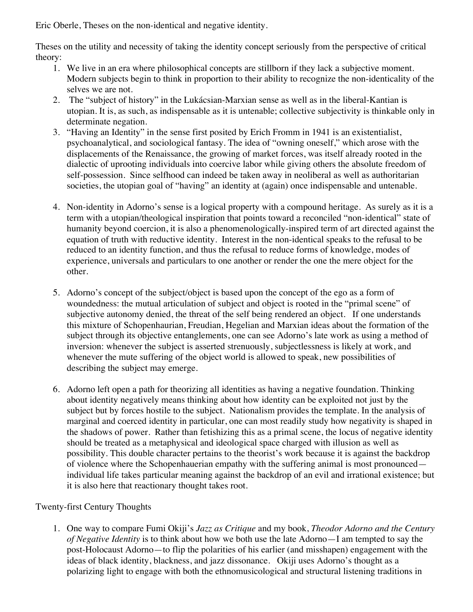Eric Oberle, Theses on the non-identical and negative identity.

Theses on the utility and necessity of taking the identity concept seriously from the perspective of critical theory:

- 1. We live in an era where philosophical concepts are stillborn if they lack a subjective moment. Modern subjects begin to think in proportion to their ability to recognize the non-identicality of the selves we are not.
- 2. The "subject of history" in the Lukácsian-Marxian sense as well as in the liberal-Kantian is utopian. It is, as such, as indispensable as it is untenable; collective subjectivity is thinkable only in determinate negation.
- 3. "Having an Identity" in the sense first posited by Erich Fromm in 1941 is an existentialist, psychoanalytical, and sociological fantasy. The idea of "owning oneself," which arose with the displacements of the Renaissance, the growing of market forces, was itself already rooted in the dialectic of uprooting individuals into coercive labor while giving others the absolute freedom of self-possession. Since selfhood can indeed be taken away in neoliberal as well as authoritarian societies, the utopian goal of "having" an identity at (again) once indispensable and untenable.
- 4. Non-identity in Adorno's sense is a logical property with a compound heritage. As surely as it is a term with a utopian/theological inspiration that points toward a reconciled "non-identical" state of humanity beyond coercion, it is also a phenomenologically-inspired term of art directed against the equation of truth with reductive identity. Interest in the non-identical speaks to the refusal to be reduced to an identity function, and thus the refusal to reduce forms of knowledge, modes of experience, universals and particulars to one another or render the one the mere object for the other.
- 5. Adorno's concept of the subject/object is based upon the concept of the ego as a form of woundedness: the mutual articulation of subject and object is rooted in the "primal scene" of subjective autonomy denied, the threat of the self being rendered an object. If one understands this mixture of Schopenhaurian, Freudian, Hegelian and Marxian ideas about the formation of the subject through its objective entanglements, one can see Adorno's late work as using a method of inversion: whenever the subject is asserted strenuously, subjectlessness is likely at work, and whenever the mute suffering of the object world is allowed to speak, new possibilities of describing the subject may emerge.
- 6. Adorno left open a path for theorizing all identities as having a negative foundation. Thinking about identity negatively means thinking about how identity can be exploited not just by the subject but by forces hostile to the subject. Nationalism provides the template. In the analysis of marginal and coerced identity in particular, one can most readily study how negativity is shaped in the shadows of power. Rather than fetishizing this as a primal scene, the locus of negative identity should be treated as a metaphysical and ideological space charged with illusion as well as possibility. This double character pertains to the theorist's work because it is against the backdrop of violence where the Schopenhauerian empathy with the suffering animal is most pronounced individual life takes particular meaning against the backdrop of an evil and irrational existence; but it is also here that reactionary thought takes root.

## Twenty-first Century Thoughts

1. One way to compare Fumi Okiji's *Jazz as Critique* and my book, *Theodor Adorno and the Century of Negative Identity* is to think about how we both use the late Adorno—I am tempted to say the post-Holocaust Adorno—to flip the polarities of his earlier (and misshapen) engagement with the ideas of black identity, blackness, and jazz dissonance. Okiji uses Adorno's thought as a polarizing light to engage with both the ethnomusicological and structural listening traditions in